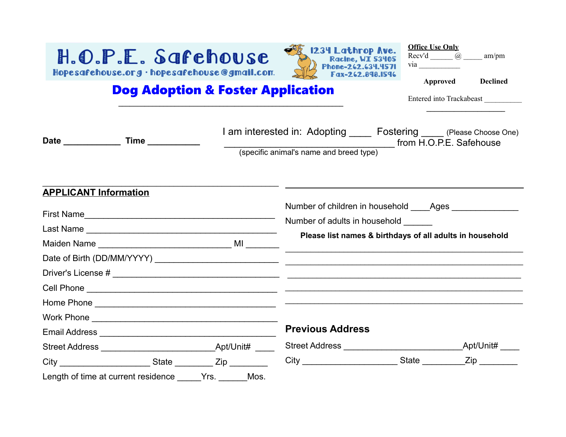

| <b>Office Use Only</b> |                 |  |  |  |  |  |
|------------------------|-----------------|--|--|--|--|--|
| Recv'd<br>(a),         | am/pm           |  |  |  |  |  |
| via                    |                 |  |  |  |  |  |
| <b>Approved</b>        | <b>Declined</b> |  |  |  |  |  |

## Dog Adoption & Foster Application

 $\_$  , and the set of the set of the set of the set of the set of the set of the set of the set of the set of the set of the set of the set of the set of the set of the set of the set of the set of the set of the set of th

Entered into Trackabeast \_\_\_\_\_\_\_\_\_\_

**\_\_\_\_\_\_\_\_\_\_\_\_\_\_\_\_\_\_\_\_**

| Date ___________<br>Time __________                                       |              | I am interested in: Adopting ______ Fostering _____ (Please Choose One) |                                                          |  |
|---------------------------------------------------------------------------|--------------|-------------------------------------------------------------------------|----------------------------------------------------------|--|
|                                                                           |              | (specific animal's name and breed type) from H.O.P.E. Safehouse         |                                                          |  |
| <b>APPLICANT Information</b>                                              |              |                                                                         |                                                          |  |
|                                                                           |              | Number of children in household _____Ages ________________              |                                                          |  |
|                                                                           |              | Number of adults in household _______                                   |                                                          |  |
|                                                                           |              |                                                                         | Please list names & birthdays of all adults in household |  |
|                                                                           |              |                                                                         |                                                          |  |
|                                                                           |              |                                                                         |                                                          |  |
|                                                                           |              |                                                                         |                                                          |  |
|                                                                           |              |                                                                         |                                                          |  |
|                                                                           |              |                                                                         |                                                          |  |
|                                                                           |              | <b>Previous Address</b>                                                 |                                                          |  |
|                                                                           |              |                                                                         |                                                          |  |
| City ______________________________State _______________ Zip ____________ |              |                                                                         |                                                          |  |
| Length of time at current residence                                       | Mos.<br>Yrs. |                                                                         |                                                          |  |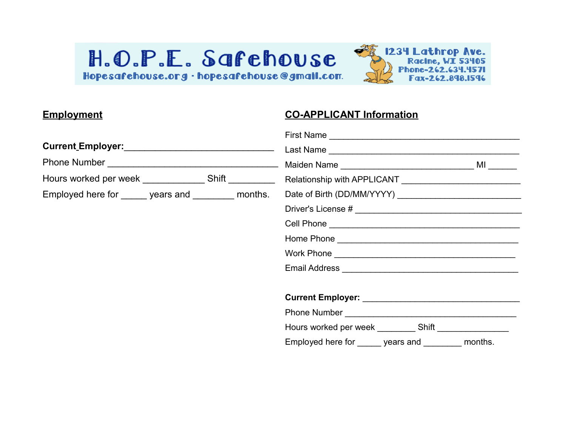

#### **Employment**

### **CO-APPLICANT Information**

|                                                     |  | Hours worked per week ______________ Shift __________ Relationship with APPLICANT _______________________                                                                                                                            |  |  |  |  |
|-----------------------------------------------------|--|--------------------------------------------------------------------------------------------------------------------------------------------------------------------------------------------------------------------------------------|--|--|--|--|
| Employed here for ______ years and ________ months. |  |                                                                                                                                                                                                                                      |  |  |  |  |
|                                                     |  |                                                                                                                                                                                                                                      |  |  |  |  |
|                                                     |  |                                                                                                                                                                                                                                      |  |  |  |  |
|                                                     |  |                                                                                                                                                                                                                                      |  |  |  |  |
|                                                     |  |                                                                                                                                                                                                                                      |  |  |  |  |
|                                                     |  | Email Address <b>Committee Contract Contract Contract Contract Contract Contract Contract Contract Contract Contract Contract Contract Contract Contract Contract Contract Contract Contract Contract Contract Contract Contract</b> |  |  |  |  |
|                                                     |  |                                                                                                                                                                                                                                      |  |  |  |  |
|                                                     |  |                                                                                                                                                                                                                                      |  |  |  |  |
|                                                     |  |                                                                                                                                                                                                                                      |  |  |  |  |
|                                                     |  | Employed here for ______ years and ________ months.                                                                                                                                                                                  |  |  |  |  |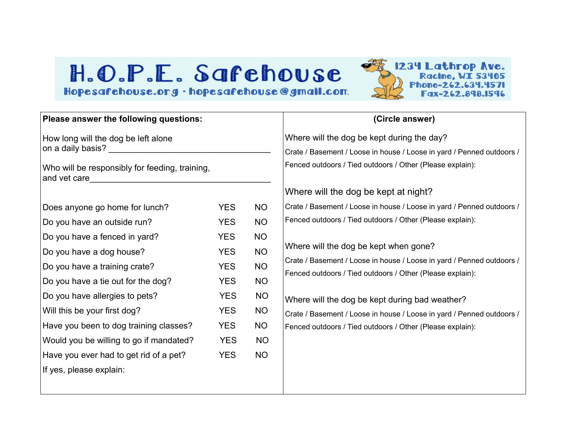

| Please answer the following questions:                                            |            |           | (Circle answer)                                                                                                                    |  |  |  |
|-----------------------------------------------------------------------------------|------------|-----------|------------------------------------------------------------------------------------------------------------------------------------|--|--|--|
| How long will the dog be left alone<br>on a daily basis? ________________________ |            |           | Where will the dog be kept during the day?<br>Crate / Basement / Loose in house / Loose in yard / Penned outdoors /                |  |  |  |
| Who will be responsibly for feeding, training,<br>and vet care                    |            |           | Fenced outdoors / Tied outdoors / Other (Please explain):                                                                          |  |  |  |
|                                                                                   |            |           | Where will the dog be kept at night?                                                                                               |  |  |  |
| Does anyone go home for lunch?                                                    | <b>YES</b> | <b>NO</b> | Crate / Basement / Loose in house / Loose in yard / Penned outdoors /                                                              |  |  |  |
| Do you have an outside run?                                                       | <b>YES</b> | <b>NO</b> | Fenced outdoors / Tied outdoors / Other (Please explain):                                                                          |  |  |  |
| Do you have a fenced in yard?                                                     | <b>YES</b> | <b>NO</b> |                                                                                                                                    |  |  |  |
| Do you have a dog house?                                                          | <b>YES</b> | <b>NO</b> | Where will the dog be kept when gone?                                                                                              |  |  |  |
| Do you have a training crate?                                                     | <b>YES</b> | <b>NO</b> | Crate / Basement / Loose in house / Loose in yard / Penned outdoors /<br>Fenced outdoors / Tied outdoors / Other (Please explain): |  |  |  |
| Do you have a tie out for the dog?                                                | <b>YES</b> | <b>NO</b> |                                                                                                                                    |  |  |  |
| Do you have allergies to pets?                                                    | <b>YES</b> | <b>NO</b> | Where will the dog be kept during bad weather?                                                                                     |  |  |  |
| Will this be your first dog?                                                      | <b>YES</b> | <b>NO</b> | Crate / Basement / Loose in house / Loose in yard / Penned outdoors /                                                              |  |  |  |
| Have you been to dog training classes?                                            | <b>YES</b> | <b>NO</b> | Fenced outdoors / Tied outdoors / Other (Please explain):                                                                          |  |  |  |
| Would you be willing to go if mandated?                                           | <b>YES</b> | <b>NO</b> |                                                                                                                                    |  |  |  |
| Have you ever had to get rid of a pet?                                            | <b>YES</b> | <b>NO</b> |                                                                                                                                    |  |  |  |
| If yes, please explain:                                                           |            |           |                                                                                                                                    |  |  |  |
|                                                                                   |            |           |                                                                                                                                    |  |  |  |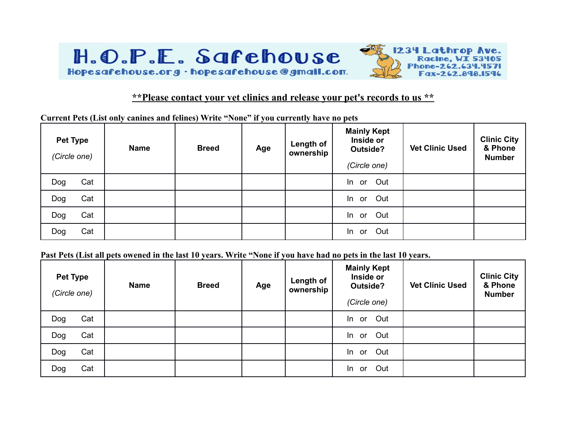

#### **\*\*Please contact your vet clinics and release your pet's records to us \*\***

**Current Pets (List only canines and felines) Write "None" if you currently have no pets**

| <b>Pet Type</b><br>(Circle one) |     | <b>Name</b> | <b>Breed</b> | Age | Length of<br>ownership | <b>Mainly Kept</b><br>Inside or<br>Outside?<br>(Circle one) | <b>Vet Clinic Used</b> | <b>Clinic City</b><br>& Phone<br><b>Number</b> |
|---------------------------------|-----|-------------|--------------|-----|------------------------|-------------------------------------------------------------|------------------------|------------------------------------------------|
| Dog                             | Cat |             |              |     |                        | In or Out                                                   |                        |                                                |
| Dog                             | Cat |             |              |     |                        | In or Out                                                   |                        |                                                |
| Dog                             | Cat |             |              |     |                        | In or Out                                                   |                        |                                                |
| Dog                             | Cat |             |              |     |                        | In or Out                                                   |                        |                                                |

**Past Pets (List all pets owened in the last 10 years. Write "None if you have had no pets in the last 10 years.** 

| <b>Pet Type</b><br>(Circle one) |     | <b>Name</b> | <b>Breed</b> | Age | Length of<br>ownership | <b>Mainly Kept</b><br>Inside or<br>Outside?<br>(Circle one) | <b>Vet Clinic Used</b> | <b>Clinic City</b><br>& Phone<br><b>Number</b> |
|---------------------------------|-----|-------------|--------------|-----|------------------------|-------------------------------------------------------------|------------------------|------------------------------------------------|
| Dog                             | Cat |             |              |     |                        | In or Out                                                   |                        |                                                |
| Dog                             | Cat |             |              |     |                        | In or Out                                                   |                        |                                                |
| Dog                             | Cat |             |              |     |                        | In or Out                                                   |                        |                                                |
| Dog                             | Cat |             |              |     |                        | In or Out                                                   |                        |                                                |